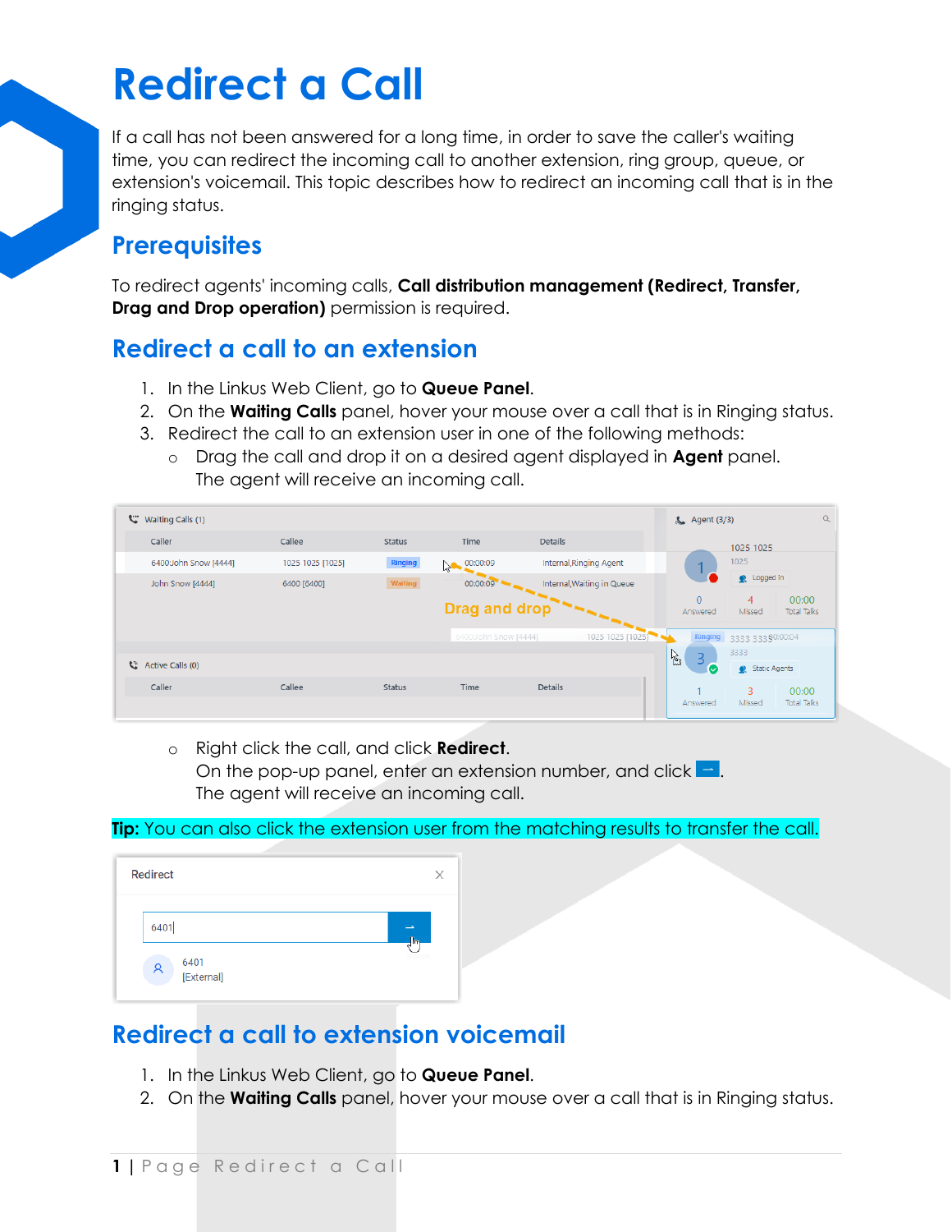# **Redirect a Call**

If a call has not been answered for a long time, in order to save the caller's waiting time, you can redirect the incoming call to another extension, ring group, queue, or extension's voicemail. This topic describes how to redirect an incoming call that is in the ringing status.

#### **Prerequisites**

To redirect agents' incoming calls, **Call distribution management (Redirect, Transfer, Drag and Drop operation)** permission is required.

### **Redirect a call to an extension**

- 1. In the Linkus Web Client, go to **Queue Panel**.
- 2. On the **Waiting Calls** panel, hover your mouse over a call that is in Ringing status.
- 3. Redirect the call to an extension user in one of the following methods:
	- o Drag the call and drop it on a desired agent displayed in **Agent** panel. The agent will receive an incoming call.

| Ë<br>Waiting Calls (1) |                  |               | & Agent (3/3)         |                            | Q                        |                                            |                    |
|------------------------|------------------|---------------|-----------------------|----------------------------|--------------------------|--------------------------------------------|--------------------|
| Caller                 | Callee           | Status        | Time                  | <b>Details</b>             |                          | 1025 1025                                  |                    |
| 6400:John Snow [4444]  | 1025 1025 [1025] | Ringing       | 00:00:09<br>$\sim$    | Internal, Ringing Agent    |                          | 1025                                       |                    |
| John Snow [4444]       | 6400 [6400]      | Waiting       | 00:00:09              | Internal, Waiting in Queue |                          | Q Logged in                                |                    |
|                        |                  |               | <b>Drag and drop</b>  |                            | $\mathbf{0}$<br>Answered | 00:00<br>4<br><b>Total Talks</b><br>Missed |                    |
|                        |                  |               | 6400:John Snow [4444] | 1025 1025 [1025]           |                          | Ringing 3333 33390:00:04                   |                    |
| C Active Calls (0)     |                  |               |                       |                            | A<br>3<br>Ø              | 3333<br>Static Agents                      |                    |
| Caller                 | Callee           | <b>Status</b> | Time                  | <b>Details</b>             |                          | 3                                          | 00:00              |
|                        |                  |               |                       |                            | Answered                 | Missed                                     | <b>Total Talks</b> |

o Right click the call, and click **Redirect**. On the pop-up panel, enter an extension number, and click  $\Box$ . The agent will receive an incoming call.

**Tip:** You can also click the extension user from the matching results to transfer the call.

| <b>Redirect</b>         |    | X |
|-------------------------|----|---|
| 6401                    | Îm |   |
| 6401<br>ዶ<br>[External] |    |   |

## **Redirect a call to extension voicemail**

- 1. In the Linkus Web Client, go to **Queue Panel**.
- 2. On the **Waiting Calls** panel, hover your mouse over a call that is in Ringing status.